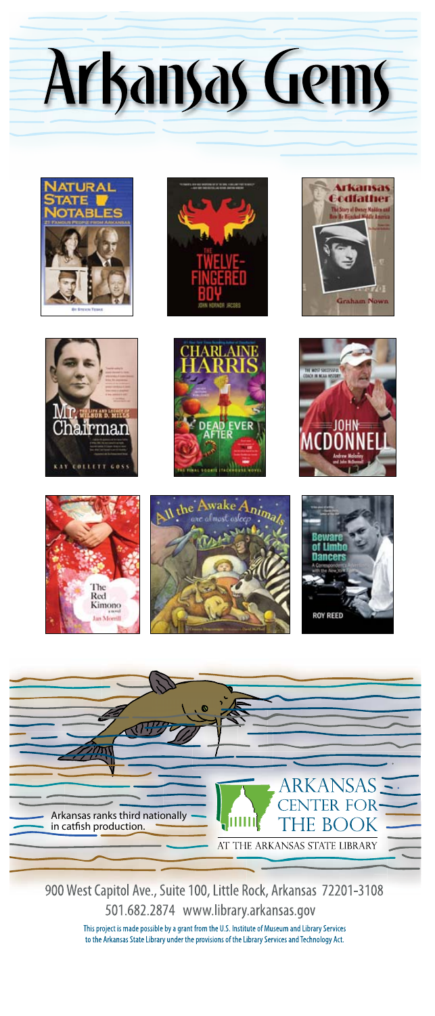Arkansas Gems



















900 West Capitol Ave., Suite 100, Little Rock, Arkansas 72201-3108 501.682.2874 www.library.arkansas.gov This project is made possible by a grant from the U.S. Institute of Museum and Library Services to the Arkansas State Library under the provisions of the Library Services and Technology Act.